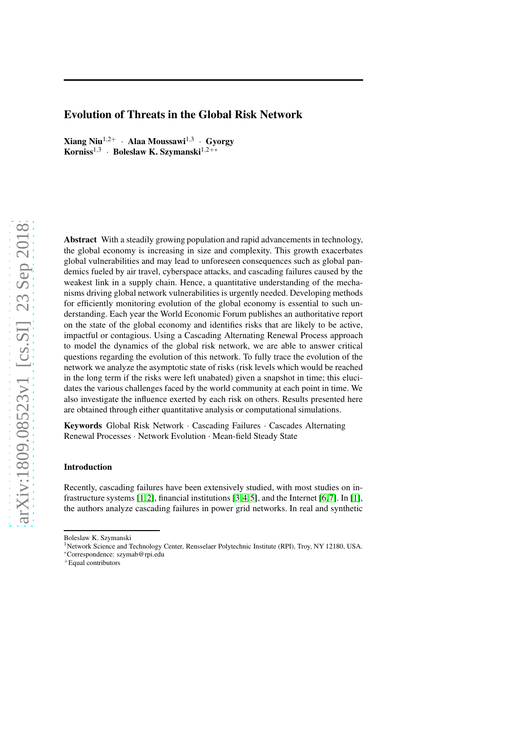# Evolution of Threats in the Global Risk Network

Xiang Niu $^{1,2+}$  • Alaa Moussawi $^{1,3}$  • Gyorgy Korniss $^{1,3}$  · Boleslaw K. Szymanski $^{1,2+\ast}$ 

Abstract With a steadily growing population and rapid advancements in technology, the global economy is increasing in size and complexity. This growth exacerbates global vulnerabilities and may lead to unforeseen consequences such as global pandemics fueled by air travel, cyberspace attacks, and cascading failures caused by the weakest link in a supply chain. Hence, a quantitative understanding of the mechanisms driving global network vulnerabilities is urgently needed. Developing methods for efficiently monitoring evolution of the global economy is essential to such understanding. Each year the World Economic Forum publishes an authoritative report on the state of the global economy and identifies risks that are likely to be active, impactful or contagious. Using a Cascading Alternating Renewal Process approach to model the dynamics of the global risk network, we are able to answer critical questions regarding the evolution of this network. To fully trace the evolution of the network we analyze the asymptotic state of risks (risk levels which would be reached in the long term if the risks were left unabated) given a snapshot in time; this elucidates the various challenges faced by the world community at each point in time. We also investigate the influence exerted by each risk on others. Results presented here are obtained through either quantitative analysis or computational simulations.

Keywords Global Risk Network · Cascading Failures · Cascades Alternating Renewal Processes · Network Evolution · Mean-field Steady State

## Introduction

Recently, cascading failures have been extensively studied, with most studies on in-frastructure systems [\[1,](#page-25-0)[2\]](#page-25-1), financial institutions [\[3,](#page-25-2)[4,](#page-26-0)[5\]](#page-26-1), and the Internet [\[6,](#page-26-2)[7\]](#page-26-3). In [\[1\]](#page-25-0), the authors analyze cascading failures in power grid networks. In real and synthetic

Boleslaw K. Szymanski

<sup>&</sup>lt;sup>1</sup>Network Science and Technology Center, Rensselaer Polytechnic Institute (RPI), Troy, NY 12180, USA.

<sup>∗</sup>Correspondence: szymab@rpi.edu

<sup>+</sup>Equal contributors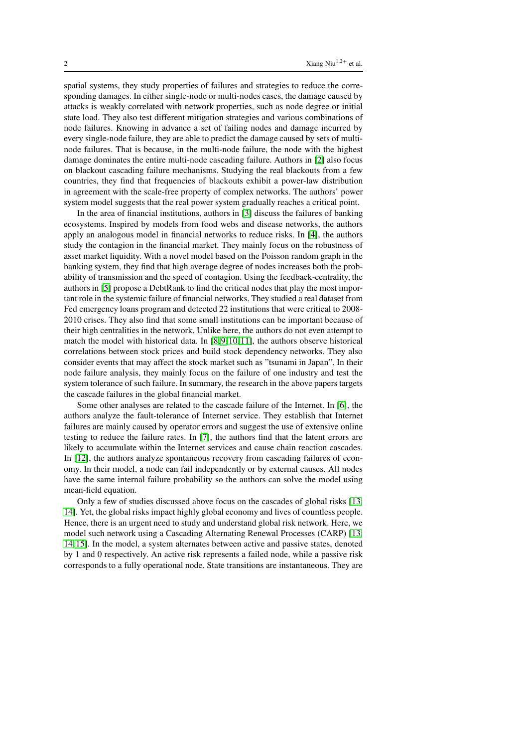spatial systems, they study properties of failures and strategies to reduce the corresponding damages. In either single-node or multi-nodes cases, the damage caused by attacks is weakly correlated with network properties, such as node degree or initial state load. They also test different mitigation strategies and various combinations of node failures. Knowing in advance a set of failing nodes and damage incurred by every single-node failure, they are able to predict the damage caused by sets of multinode failures. That is because, in the multi-node failure, the node with the highest damage dominates the entire multi-node cascading failure. Authors in [\[2\]](#page-25-1) also focus on blackout cascading failure mechanisms. Studying the real blackouts from a few countries, they find that frequencies of blackouts exhibit a power-law distribution in agreement with the scale-free property of complex networks. The authors' power system model suggests that the real power system gradually reaches a critical point.

In the area of financial institutions, authors in [\[3\]](#page-25-2) discuss the failures of banking ecosystems. Inspired by models from food webs and disease networks, the authors apply an analogous model in financial networks to reduce risks. In [\[4\]](#page-26-0), the authors study the contagion in the financial market. They mainly focus on the robustness of asset market liquidity. With a novel model based on the Poisson random graph in the banking system, they find that high average degree of nodes increases both the probability of transmission and the speed of contagion. Using the feedback-centrality, the authors in [\[5\]](#page-26-1) propose a DebtRank to find the critical nodes that play the most important role in the systemic failure of financial networks. They studied a real dataset from Fed emergency loans program and detected 22 institutions that were critical to 2008- 2010 crises. They also find that some small institutions can be important because of their high centralities in the network. Unlike here, the authors do not even attempt to match the model with historical data. In [\[8,](#page-26-4)[9,](#page-26-5)[10,](#page-26-6)[11\]](#page-26-7), the authors observe historical correlations between stock prices and build stock dependency networks. They also consider events that may affect the stock market such as "tsunami in Japan". In their node failure analysis, they mainly focus on the failure of one industry and test the system tolerance of such failure. In summary, the research in the above papers targets the cascade failures in the global financial market.

Some other analyses are related to the cascade failure of the Internet. In [\[6\]](#page-26-2), the authors analyze the fault-tolerance of Internet service. They establish that Internet failures are mainly caused by operator errors and suggest the use of extensive online testing to reduce the failure rates. In [\[7\]](#page-26-3), the authors find that the latent errors are likely to accumulate within the Internet services and cause chain reaction cascades. In [\[12\]](#page-26-8), the authors analyze spontaneous recovery from cascading failures of economy. In their model, a node can fail independently or by external causes. All nodes have the same internal failure probability so the authors can solve the model using mean-field equation.

Only a few of studies discussed above focus on the cascades of global risks [\[13,](#page-26-9) [14\]](#page-26-10). Yet, the global risks impact highly global economy and lives of countless people. Hence, there is an urgent need to study and understand global risk network. Here, we model such network using a Cascading Alternating Renewal Processes (CARP) [\[13,](#page-26-9) [14,](#page-26-10)[15\]](#page-26-11). In the model, a system alternates between active and passive states, denoted by 1 and 0 respectively. An active risk represents a failed node, while a passive risk corresponds to a fully operational node. State transitions are instantaneous. They are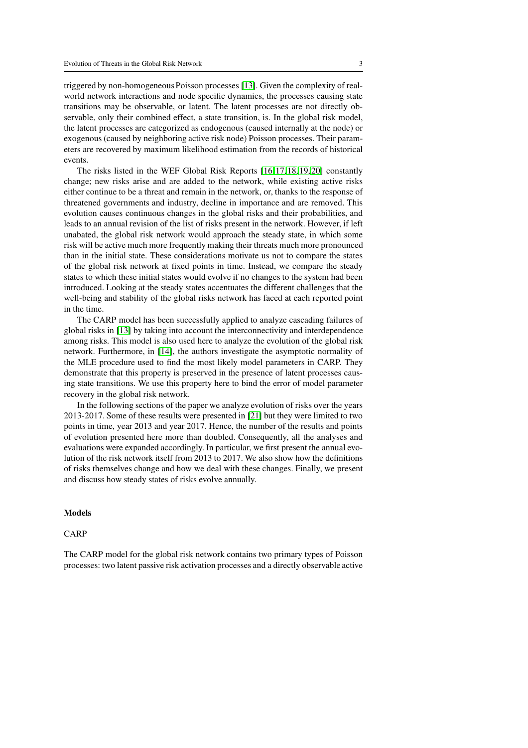triggered by non-homogeneous Poisson processes [\[13\]](#page-26-9). Given the complexity of realworld network interactions and node specific dynamics, the processes causing state transitions may be observable, or latent. The latent processes are not directly observable, only their combined effect, a state transition, is. In the global risk model, the latent processes are categorized as endogenous (caused internally at the node) or exogenous (caused by neighboring active risk node) Poisson processes. Their parameters are recovered by maximum likelihood estimation from the records of historical events.

The risks listed in the WEF Global Risk Reports [\[16,](#page-26-12)[17,](#page-26-13)[18,](#page-26-14)[19,](#page-26-15)[20\]](#page-26-16) constantly change; new risks arise and are added to the network, while existing active risks either continue to be a threat and remain in the network, or, thanks to the response of threatened governments and industry, decline in importance and are removed. This evolution causes continuous changes in the global risks and their probabilities, and leads to an annual revision of the list of risks present in the network. However, if left unabated, the global risk network would approach the steady state, in which some risk will be active much more frequently making their threats much more pronounced than in the initial state. These considerations motivate us not to compare the states of the global risk network at fixed points in time. Instead, we compare the steady states to which these initial states would evolve if no changes to the system had been introduced. Looking at the steady states accentuates the different challenges that the well-being and stability of the global risks network has faced at each reported point in the time.

The CARP model has been successfully applied to analyze cascading failures of global risks in [\[13\]](#page-26-9) by taking into account the interconnectivity and interdependence among risks. This model is also used here to analyze the evolution of the global risk network. Furthermore, in [\[14\]](#page-26-10), the authors investigate the asymptotic normality of the MLE procedure used to find the most likely model parameters in CARP. They demonstrate that this property is preserved in the presence of latent processes causing state transitions. We use this property here to bind the error of model parameter recovery in the global risk network.

In the following sections of the paper we analyze evolution of risks over the years 2013-2017. Some of these results were presented in [\[21\]](#page-26-17) but they were limited to two points in time, year 2013 and year 2017. Hence, the number of the results and points of evolution presented here more than doubled. Consequently, all the analyses and evaluations were expanded accordingly. In particular, we first present the annual evolution of the risk network itself from 2013 to 2017. We also show how the definitions of risks themselves change and how we deal with these changes. Finally, we present and discuss how steady states of risks evolve annually.

#### Models

#### CARP

The CARP model for the global risk network contains two primary types of Poisson processes: two latent passive risk activation processes and a directly observable active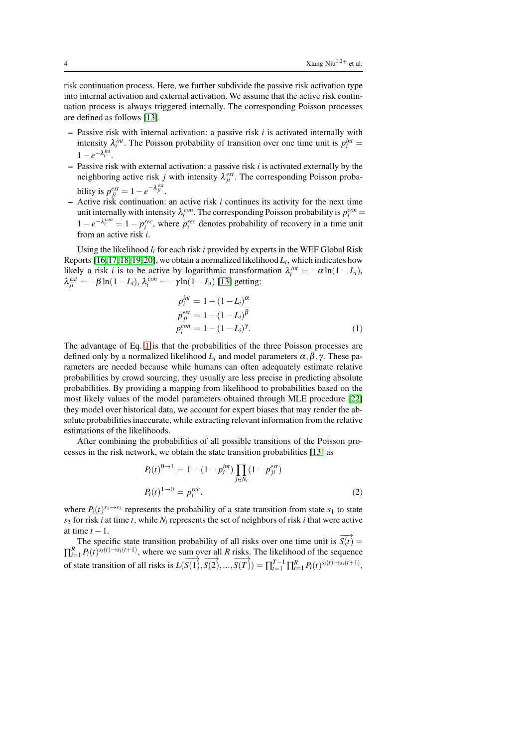risk continuation process. Here, we further subdivide the passive risk activation type into internal activation and external activation. We assume that the active risk continuation process is always triggered internally. The corresponding Poisson processes are defined as follows [\[13\]](#page-26-9).

- Passive risk with internal activation: a passive risk *i* is activated internally with intensity  $\lambda_i^{int}$ . The Poisson probability of transition over one time unit is  $p_i^{int}$  $1-e^{-\lambda_i^{int}}$ .
- Passive risk with external activation: a passive risk *i* is activated externally by the neighboring active risk *j* with intensity  $\lambda_{ji}^{ext}$ . The corresponding Poisson probability is  $p_{ji}^{ext} = 1 - e^{-\lambda_{ji}^{ext}}$ .
- Active risk continuation: an active risk *i* continues its activity for the next time unit internally with intensity  $\lambda_i^{con}$ . The corresponding Poisson probability is  $p_i^{con}$  $1 - e^{-\lambda_i^{con}} = 1 - p_i^{rec}$ , where  $p_i^{rec}$  denotes probability of recovery in a time unit from an active risk *i*.

Using the likelihood *l<sup>i</sup>* for each risk *i* provided by experts in the WEF Global Risk Reports [\[16,](#page-26-12)[17,](#page-26-13)[18,](#page-26-14)[19,](#page-26-15)[20\]](#page-26-16), we obtain a normalized likelihood *L<sup>i</sup>* , which indicates how likely a risk *i* is to be active by logarithmic transformation  $\lambda_i^{int} = -\alpha \ln(1 - L_i)$ ,  $\lambda_{ji}^{ext} = -\beta \ln(1 - L_i)$ ,  $\lambda_i^{con} = -\gamma \ln(1 - L_i)$  [\[13\]](#page-26-9) getting:

<span id="page-3-0"></span>
$$
p_i^{int} = 1 - (1 - L_i)^{\alpha}
$$
  
\n
$$
p_{ji}^{ext} = 1 - (1 - L_i)^{\beta}
$$
  
\n
$$
p_i^{con} = 1 - (1 - L_i)^{\gamma}.
$$
  
\n(1)

The advantage of Eq. [1](#page-3-0) is that the probabilities of the three Poisson processes are defined only by a normalized likelihood  $L_i$  and model parameters  $\alpha, \beta, \gamma$ . These parameters are needed because while humans can often adequately estimate relative probabilities by crowd sourcing, they usually are less precise in predicting absolute probabilities. By providing a mapping from likelihood to probabilities based on the most likely values of the model parameters obtained through MLE procedure [\[22\]](#page-26-18) they model over historical data, we account for expert biases that may render the absolute probabilities inaccurate, while extracting relevant information from the relative estimations of the likelihoods.

After combining the probabilities of all possible transitions of the Poisson processes in the risk network, we obtain the state transition probabilities [\[13\]](#page-26-9) as

<span id="page-3-1"></span>
$$
P_i(t)^{0 \to 1} = 1 - (1 - p_i^{int}) \prod_{j \in N_i} (1 - p_{ji}^{ext})
$$
  

$$
P_i(t)^{1 \to 0} = p_i^{rec}.
$$
 (2)

where  $P_i(t)^{s_1 \rightarrow s_2}$  represents the probability of a state transition from state  $s_1$  to state  $s_2$  for risk *i* at time *t*, while  $N_i$  represents the set of neighbors of risk *i* that were active at time  $t - 1$ .

The specific state transition probability of all risks over one time unit is  $\overrightarrow{S(t)}$  =  $\prod_{i=1}^{R} P_i(t)^{s_i(t)\to s_i(t+1)}$ , where we sum over all *R* risks. The likelihood of the sequence of state transition of all risks is  $L(\overrightarrow{S(1)}, \overrightarrow{S(2)}, ..., \overrightarrow{S(T)}) = \prod_{t=1}^{T-1} \prod_{i=1}^{R} P_i(t)^{s_i(t) \to s_i(t+1)}$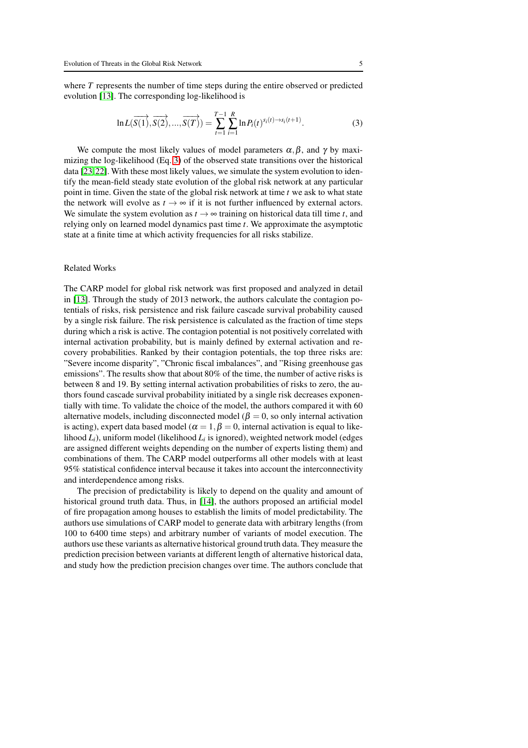where *T* represents the number of time steps during the entire observed or predicted evolution [\[13\]](#page-26-9). The corresponding log-likelihood is

<span id="page-4-0"></span>
$$
\ln L(\overrightarrow{S(1)}, \overrightarrow{S(2)}, \dots, \overrightarrow{S(T)}) = \sum_{t=1}^{T-1} \sum_{i=1}^{R} \ln P_i(t)^{s_i(t) \to s_i(t+1)}.
$$
 (3)

We compute the most likely values of model parameters  $\alpha$ ,  $\beta$ , and  $\gamma$  by maximizing the log-likelihood (Eq. [3\)](#page-4-0) of the observed state transitions over the historical data [\[23,](#page-26-19)[22\]](#page-26-18). With these most likely values, we simulate the system evolution to identify the mean-field steady state evolution of the global risk network at any particular point in time. Given the state of the global risk network at time *t* we ask to what state the network will evolve as  $t \to \infty$  if it is not further influenced by external actors. We simulate the system evolution as  $t \to \infty$  training on historical data till time *t*, and relying only on learned model dynamics past time *t*. We approximate the asymptotic state at a finite time at which activity frequencies for all risks stabilize.

## Related Works

The CARP model for global risk network was first proposed and analyzed in detail in [\[13\]](#page-26-9). Through the study of 2013 network, the authors calculate the contagion potentials of risks, risk persistence and risk failure cascade survival probability caused by a single risk failure. The risk persistence is calculated as the fraction of time steps during which a risk is active. The contagion potential is not positively correlated with internal activation probability, but is mainly defined by external activation and recovery probabilities. Ranked by their contagion potentials, the top three risks are: "Severe income disparity", "Chronic fiscal imbalances", and "Rising greenhouse gas emissions". The results show that about 80% of the time, the number of active risks is between 8 and 19. By setting internal activation probabilities of risks to zero, the authors found cascade survival probability initiated by a single risk decreases exponentially with time. To validate the choice of the model, the authors compared it with 60 alternative models, including disconnected model ( $\beta = 0$ , so only internal activation is acting), expert data based model ( $\alpha = 1, \beta = 0$ , internal activation is equal to likelihood *Li*), uniform model (likelihood *L<sup>i</sup>* is ignored), weighted network model (edges are assigned different weights depending on the number of experts listing them) and combinations of them. The CARP model outperforms all other models with at least 95% statistical confidence interval because it takes into account the interconnectivity and interdependence among risks.

The precision of predictability is likely to depend on the quality and amount of historical ground truth data. Thus, in [\[14\]](#page-26-10), the authors proposed an artificial model of fire propagation among houses to establish the limits of model predictability. The authors use simulations of CARP model to generate data with arbitrary lengths (from 100 to 6400 time steps) and arbitrary number of variants of model execution. The authors use these variants as alternative historical ground truth data. They measure the prediction precision between variants at different length of alternative historical data, and study how the prediction precision changes over time. The authors conclude that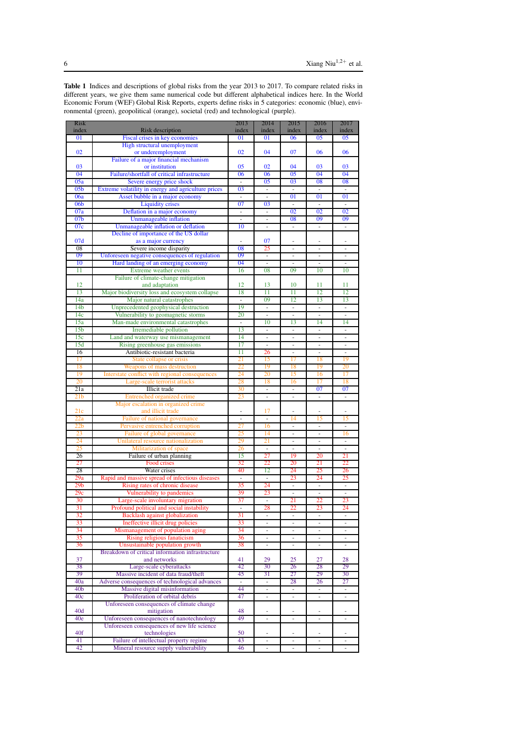<span id="page-5-0"></span>Table 1 Indices and descriptions of global risks from the year 2013 to 2017. To compare related risks in different years, we give them same numerical code but different alphabetical indices here. In the World Economic Forum (WEF) Global Risk Reports, experts define risks in 5 categories: economic (blue), environmental (green), geopolitical (orange), societal (red) and technological (purple).

| <b>Risk</b>            |                                                                                  | 2013                           | 2014                           | 2015                           | 2016                           | 2017                                        |
|------------------------|----------------------------------------------------------------------------------|--------------------------------|--------------------------------|--------------------------------|--------------------------------|---------------------------------------------|
| index<br>01            | Risk description<br>Fiscal crises in key economies                               | index<br>01                    | index<br>01                    | index<br>06                    | index<br>05                    | index<br>05                                 |
|                        | High structural unemployment                                                     |                                |                                |                                |                                |                                             |
| 02                     | or underemployment                                                               | 02                             | 04                             | 07                             | 06                             | 06                                          |
|                        | Failure of a major financial mechanism                                           |                                |                                |                                |                                |                                             |
| 03                     | or institution                                                                   | 05                             | 02                             | 04                             | 03                             | 03                                          |
| 04                     | Failure/shortfall of critical infrastructure                                     | 06                             | 06                             | 05                             | 04                             | 04                                          |
| 05a<br>05 <sub>b</sub> | Severe energy price shock<br>Extreme volatility in energy and agriculture prices | ÷.<br>0 <sup>3</sup>           | 05                             | 03                             | 08                             | 08                                          |
| 06a                    | Asset bubble in a major economy                                                  | $\Box$                         | $\overline{\phantom{a}}$<br>ä, | $\overline{\phantom{a}}$<br>01 | $\overline{\phantom{a}}$<br>01 | $\overline{\phantom{a}}$<br>$\overline{01}$ |
| 06 <sub>b</sub>        | <b>Liquidity crises</b>                                                          | 07                             | 03                             | $\overline{\phantom{a}}$       | $\overline{\phantom{a}}$       | $\overline{\phantom{a}}$                    |
| 07a                    | Deflation in a major economy                                                     | $\overline{\phantom{a}}$       | $\overline{\phantom{a}}$       | 0 <sup>2</sup>                 | 0 <sup>2</sup>                 | 02                                          |
| 07 <sub>b</sub>        | Unmanageable inflation                                                           | ÷,                             | ÷,                             | 08                             | 09                             | 09                                          |
| 07c                    | Unmanageable inflation or deflation                                              | 10                             | $\blacksquare$                 | $\blacksquare$                 | $\blacksquare$                 | $\blacksquare$                              |
| 07d                    | Decline of importance of the US dollar                                           |                                |                                |                                |                                |                                             |
| 08                     | as a major currency<br>Severe income disparity                                   | 08                             | 07<br>25                       | ÷,                             | ÷,                             | ä,                                          |
| 09                     | Unforeseen negative consequences of regulation                                   | 09                             | $\overline{\phantom{a}}$       | $\overline{\phantom{a}}$       | $\omega$                       | $\overline{\phantom{a}}$                    |
| 10                     | Hard landing of an emerging economy                                              | 04                             | $\Box$                         | $\overline{\phantom{a}}$       | $\overline{\phantom{a}}$       | $\overline{\phantom{a}}$                    |
| 11                     | Extreme weather events                                                           | 16                             | 08                             | 09                             | 10                             | 10                                          |
|                        | Failure of climate-change mitigation                                             |                                |                                |                                |                                |                                             |
| 12                     | and adaptation                                                                   | 12                             | 13                             | 10                             | 11                             | 11                                          |
| 13<br>14a              | Major biodiversity loss and ecosystem collapse<br>Major natural catastrophes     | 18                             | 11<br>09                       | 11<br>12                       | 12<br>13                       | 12<br>13                                    |
| 14b                    | Unprecedented geophysical destruction                                            | $\overline{\phantom{a}}$<br>19 | $\blacksquare$                 | $\overline{\phantom{a}}$       | $\blacksquare$                 | $\overline{\phantom{a}}$                    |
| 14c                    | Vulnerability to geomagnetic storms                                              | 20                             | ÷,                             |                                | ÷.                             | ÷,                                          |
| 15a                    | Man-made environmental catastrophes                                              | $\Box$                         | 10                             | 13                             | 14                             | 14                                          |
| 15 <sub>b</sub>        | Irremediable pollution                                                           | 13                             | $\overline{\phantom{a}}$       | ÷.                             | $\Box$                         | $\overline{\phantom{a}}$                    |
| 15c                    | Land and waterway use mismanagement                                              | 14                             | $\overline{\phantom{a}}$       | ÷,                             | $\overline{\phantom{a}}$       | $\overline{\phantom{a}}$                    |
| 15d                    | Rising greenhouse gas emissions                                                  | 17                             | ÷,                             | ÷,                             | $\overline{\phantom{a}}$       | $\overline{\phantom{a}}$                    |
| 16<br>17               | Antibiotic-resistant bacteria<br>State collapse or crisis                        | 11<br>21                       | 26<br>15                       | ä,<br>17                       | $\overline{\phantom{a}}$<br>18 | ä,<br>19                                    |
| 18                     | Weapons of mass destruction                                                      | 22                             | 19                             | 18                             | 19                             | 20                                          |
| 19                     | Interstate conflict with regional consequences                                   | 24                             | 20                             | 15                             | 16                             | 17                                          |
| 20                     | Large-scale terrorist attacks                                                    | 28                             | 18                             | 16                             | 17                             | 18                                          |
| 21a                    | <b>Illicit</b> trade                                                             | 30                             | $\sim$                         | $\bar{a}$                      | 07                             | 07                                          |
| 21b                    | Entrenched organized crime                                                       | 23                             | $\overline{\phantom{a}}$       | $\blacksquare$                 | $\overline{\phantom{a}}$       | $\blacksquare$                              |
|                        | Major escalation in organized crime                                              |                                |                                |                                |                                |                                             |
| 21c<br>22a             | and illicit trade<br>Failure of national governance                              | $\bar{a}$                      | 17<br>$\overline{\phantom{a}}$ | 14                             | 15                             | 15                                          |
| 22 <sub>b</sub>        | Pervasive entrenched corruption                                                  | 27                             | 16                             | $\overline{\phantom{a}}$       | $\overline{\phantom{a}}$       | $\overline{\phantom{a}}$                    |
| 23                     | Failure of global governance                                                     | 25                             | 14                             | $\blacksquare$                 | $\blacksquare$                 | 16                                          |
| 24                     | Unilateral resource nationalization                                              | 29                             | 21                             | ÷,                             | $\overline{\phantom{a}}$       | $\overline{\phantom{a}}$                    |
| 25                     | Militarization of space                                                          | 26                             | $\overline{\phantom{a}}$       | ÷                              | $\overline{\phantom{a}}$       | $\overline{\phantom{a}}$                    |
| 26                     | Failure of urban planning                                                        | 15                             | 27                             | 19                             | 20                             | 21                                          |
| 27<br>28               | Food crises<br>Water crises                                                      | 32<br>40                       | 22<br>12                       | 20<br>24                       | 21                             | 22<br>26                                    |
| 29a                    | Rapid and massive spread of infectious diseases                                  | $\sim$                         | $\blacksquare$                 | 23                             | 25<br>24                       | 25                                          |
| 29 <sub>b</sub>        | Rising rates of chronic disease                                                  | 35                             | 24                             | $\blacksquare$                 | ä,                             | $\blacksquare$                              |
| 29c                    | Vulnerability to pandemics                                                       | 39                             | 23                             | $\overline{\phantom{a}}$       | $\blacksquare$                 | $\overline{\phantom{a}}$                    |
| 30                     | Large-scale involuntary migration                                                | 37                             | ä,                             | 21                             | 22                             | 23                                          |
| 31                     | Profound political and social instability                                        | $\blacksquare$                 | 28                             | 22                             | 23                             | 24                                          |
| 32                     | Backlash against globalization                                                   | 31                             | $\overline{\phantom{a}}$       | $\overline{\phantom{m}}$       | ÷                              | $\overline{\phantom{a}}$                    |
| 33<br>34               | Ineffective illicit drug policies<br>Mismanagement of population aging           | 33<br>34                       | $\sim$                         | ÷,                             | $\overline{\phantom{a}}$       | ÷.                                          |
| 35                     | <b>Rising religious fanaticism</b>                                               | 36                             | $\overline{\phantom{a}}$       | ÷,                             | $\overline{\phantom{a}}$       | $\overline{\phantom{a}}$                    |
| 36                     | Unsustainable population growth                                                  | 38                             |                                |                                |                                |                                             |
|                        | Breakdown of critical information infrastructure                                 |                                |                                |                                |                                |                                             |
| 37                     | and networks                                                                     | 41                             | 29                             | 25                             | 27                             | 28                                          |
| 38                     | Large-scale cyberattacks                                                         | 42                             | 30                             | 26                             | 28                             | 29                                          |
| 39                     | Massive incident of data fraud/theft                                             | 45                             | 31                             | 27                             | 29                             | 30                                          |
| 40a<br>40 <sub>b</sub> | Adverse consequences of technological advances<br>Massive digital misinformation | 44                             | ÷,                             | 28                             | 26                             | 27                                          |
| 40c                    | Proliferation of orbital debris                                                  | 47                             | $\overline{\phantom{a}}$       | $\overline{\phantom{a}}$       | $\overline{\phantom{a}}$       | $\blacksquare$                              |
|                        | Unforeseen consequences of climate change                                        |                                |                                |                                |                                |                                             |
| 40d                    | mitigation                                                                       | 48                             |                                |                                |                                |                                             |
| 40e                    | Unforeseen consequences of nanotechnology                                        | 49                             |                                |                                |                                |                                             |
|                        | Unforeseen consequences of new life science                                      |                                |                                |                                |                                |                                             |
| 40f<br>41              | technologies<br>Failure of intellectual property regime                          | 50<br>43                       | $\overline{\phantom{a}}$       | $\overline{\phantom{a}}$       | $\overline{\phantom{a}}$       | $\overline{\phantom{a}}$                    |
| 42                     | Mineral resource supply vulnerability                                            | 46                             | ۰                              | $\overline{\phantom{m}}$<br>÷. | $\frac{1}{2}$                  | ۰                                           |
|                        |                                                                                  |                                |                                |                                |                                |                                             |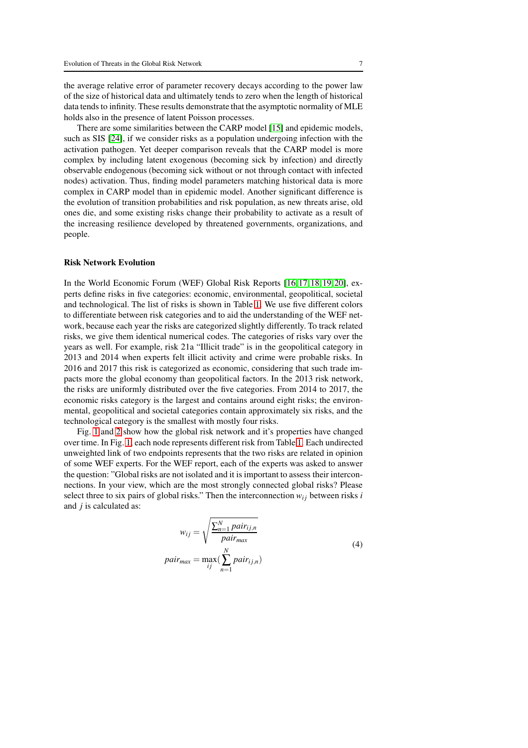the average relative error of parameter recovery decays according to the power law of the size of historical data and ultimately tends to zero when the length of historical data tends to infinity. These results demonstrate that the asymptotic normality of MLE holds also in the presence of latent Poisson processes.

There are some similarities between the CARP model [\[15\]](#page-26-11) and epidemic models, such as SIS [\[24\]](#page-26-20), if we consider risks as a population undergoing infection with the activation pathogen. Yet deeper comparison reveals that the CARP model is more complex by including latent exogenous (becoming sick by infection) and directly observable endogenous (becoming sick without or not through contact with infected nodes) activation. Thus, finding model parameters matching historical data is more complex in CARP model than in epidemic model. Another significant difference is the evolution of transition probabilities and risk population, as new threats arise, old ones die, and some existing risks change their probability to activate as a result of the increasing resilience developed by threatened governments, organizations, and people.

## Risk Network Evolution

In the World Economic Forum (WEF) Global Risk Reports [\[16,](#page-26-12)[17,](#page-26-13)[18,](#page-26-14)[19,](#page-26-15)[20\]](#page-26-16), experts define risks in five categories: economic, environmental, geopolitical, societal and technological. The list of risks is shown in Table [1.](#page-5-0) We use five different colors to differentiate between risk categories and to aid the understanding of the WEF network, because each year the risks are categorized slightly differently. To track related risks, we give them identical numerical codes. The categories of risks vary over the years as well. For example, risk 21a "Illicit trade" is in the geopolitical category in 2013 and 2014 when experts felt illicit activity and crime were probable risks. In 2016 and 2017 this risk is categorized as economic, considering that such trade impacts more the global economy than geopolitical factors. In the 2013 risk network, the risks are uniformly distributed over the five categories. From 2014 to 2017, the economic risks category is the largest and contains around eight risks; the environmental, geopolitical and societal categories contain approximately six risks, and the technological category is the smallest with mostly four risks.

Fig. [1](#page-7-0) and [2](#page-8-0) show how the global risk network and it's properties have changed over time. In Fig. [1,](#page-7-0) each node represents different risk from Table [1.](#page-5-0) Each undirected unweighted link of two endpoints represents that the two risks are related in opinion of some WEF experts. For the WEF report, each of the experts was asked to answer the question: "Global risks are not isolated and it is important to assess their interconnections. In your view, which are the most strongly connected global risks? Please select three to six pairs of global risks." Then the interconnection  $w_{ij}$  between risks  $i$ and *j* is calculated as:

$$
w_{ij} = \sqrt{\frac{\sum_{n=1}^{N} pair_{ij,n}}{pair_{max}}}
$$
  
\n
$$
pair_{max} = \max_{ij} (\sum_{n=1}^{N} pair_{ij,n})
$$
\n(4)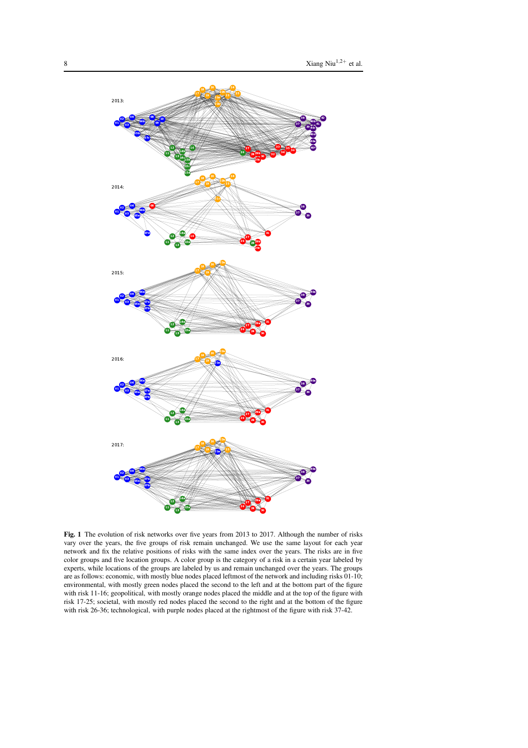

<span id="page-7-0"></span>Fig. 1 The evolution of risk networks over five years from 2013 to 2017. Although the number of risks vary over the years, the five groups of risk remain unchanged. We use the same layout for each year network and fix the relative positions of risks with the same index over the years. The risks are in five color groups and five location groups. A color group is the category of a risk in a certain year labeled by experts, while locations of the groups are labeled by us and remain unchanged over the years. The groups are as follows: economic, with mostly blue nodes placed leftmost of the network and including risks 01-10; environmental, with mostly green nodes placed the second to the left and at the bottom part of the figure with risk 11-16; geopolitical, with mostly orange nodes placed the middle and at the top of the figure with risk 17-25; societal, with mostly red nodes placed the second to the right and at the bottom of the figure with risk 26-36; technological, with purple nodes placed at the rightmost of the figure with risk 37-42.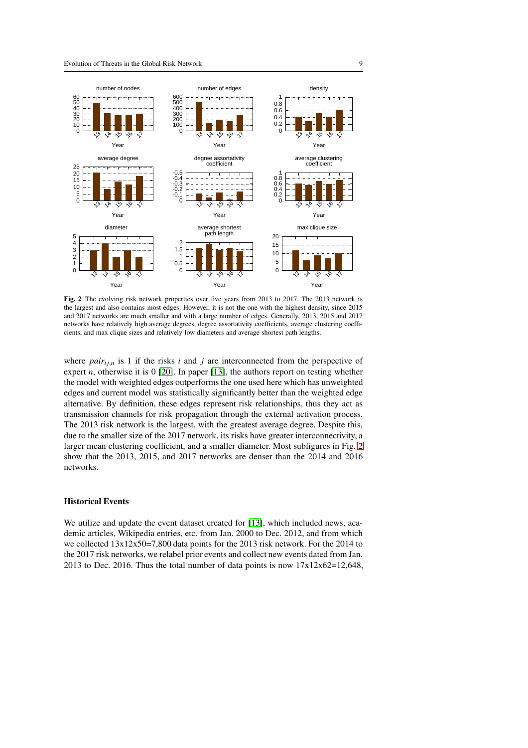

<span id="page-8-0"></span>Fig. 2 The evolving risk network properties over five years from 2013 to 2017. The 2013 network is the largest and also contains most edges. However, it is not the one with the highest density, since 2015 and 2017 networks are much smaller and with a large number of edges. Generally, 2013, 2015 and 2017 networks have relatively high average degrees, degree assortativity coefficients, average clustering coefficients, and max clique sizes and relatively low diameters and average shortest path lengths.

where  $pair_{ij,n}$  is 1 if the risks *i* and *j* are interconnected from the perspective of expert *n*, otherwise it is 0 [\[20\]](#page-26-16). In paper [\[13\]](#page-26-9), the authors report on testing whether the model with weighted edges outperforms the one used here which has unweighted edges and current model was statistically significantly better than the weighted edge alternative. By definition, these edges represent risk relationships, thus they act as transmission channels for risk propagation through the external activation process. The 2013 risk network is the largest, with the greatest average degree. Despite this, due to the smaller size of the 2017 network, its risks have greater interconnectivity, a larger mean clustering coefficient, and a smaller diameter. Most subfigures in Fig. [2](#page-8-0) show that the 2013, 2015, and 2017 networks are denser than the 2014 and 2016 networks.

# Historical Events

We utilize and update the event dataset created for [\[13\]](#page-26-9), which included news, academic articles, Wikipedia entries, etc. from Jan. 2000 to Dec. 2012, and from which we collected 13x12x50=7,800 data points for the 2013 risk network. For the 2014 to the 2017 risk networks, we relabel prior events and collect new events dated from Jan. 2013 to Dec. 2016. Thus the total number of data points is now  $17x12x62=12,648$ ,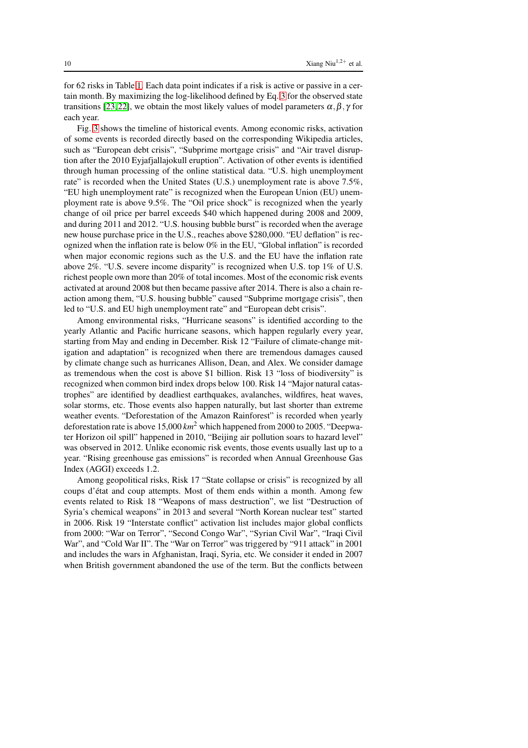for 62 risks in Table [1.](#page-5-0) Each data point indicates if a risk is active or passive in a certain month. By maximizing the log-likelihood defined by Eq. [3](#page-4-0) for the observed state transitions [\[23,](#page-26-19)[22\]](#page-26-18), we obtain the most likely values of model parameters  $\alpha, \beta, \gamma$  for each year.

Fig. [3](#page-10-0) shows the timeline of historical events. Among economic risks, activation of some events is recorded directly based on the corresponding Wikipedia articles, such as "European debt crisis", "Subprime mortgage crisis" and "Air travel disruption after the 2010 Eyjafjallajokull eruption". Activation of other events is identified through human processing of the online statistical data. "U.S. high unemployment rate" is recorded when the United States (U.S.) unemployment rate is above 7.5%, "EU high unemployment rate" is recognized when the European Union (EU) unemployment rate is above 9.5%. The "Oil price shock" is recognized when the yearly change of oil price per barrel exceeds \$40 which happened during 2008 and 2009, and during 2011 and 2012. "U.S. housing bubble burst" is recorded when the average new house purchase price in the U.S., reaches above \$280,000. "EU deflation" is recognized when the inflation rate is below 0% in the EU, "Global inflation" is recorded when major economic regions such as the U.S. and the EU have the inflation rate above 2%. "U.S. severe income disparity" is recognized when U.S. top 1% of U.S. richest people own more than 20% of total incomes. Most of the economic risk events activated at around 2008 but then became passive after 2014. There is also a chain reaction among them, "U.S. housing bubble" caused "Subprime mortgage crisis", then led to "U.S. and EU high unemployment rate" and "European debt crisis".

Among environmental risks, "Hurricane seasons" is identified according to the yearly Atlantic and Pacific hurricane seasons, which happen regularly every year, starting from May and ending in December. Risk 12 "Failure of climate-change mitigation and adaptation" is recognized when there are tremendous damages caused by climate change such as hurricanes Allison, Dean, and Alex. We consider damage as tremendous when the cost is above \$1 billion. Risk 13 "loss of biodiversity" is recognized when common bird index drops below 100. Risk 14 "Major natural catastrophes" are identified by deadliest earthquakes, avalanches, wildfires, heat waves, solar storms, etc. Those events also happen naturally, but last shorter than extreme weather events. "Deforestation of the Amazon Rainforest" is recorded when yearly deforestation rate is above 15,000 *km*<sup>2</sup> which happened from 2000 to 2005. "Deepwater Horizon oil spill" happened in 2010, "Beijing air pollution soars to hazard level" was observed in 2012. Unlike economic risk events, those events usually last up to a year. "Rising greenhouse gas emissions" is recorded when Annual Greenhouse Gas Index (AGGI) exceeds 1.2.

Among geopolitical risks, Risk 17 "State collapse or crisis" is recognized by all coups d'´etat and coup attempts. Most of them ends within a month. Among few events related to Risk 18 "Weapons of mass destruction", we list "Destruction of Syria's chemical weapons" in 2013 and several "North Korean nuclear test" started in 2006. Risk 19 "Interstate conflict" activation list includes major global conflicts from 2000: "War on Terror", "Second Congo War", "Syrian Civil War", "Iraqi Civil War", and "Cold War II". The "War on Terror" was triggered by "911 attack" in 2001 and includes the wars in Afghanistan, Iraqi, Syria, etc. We consider it ended in 2007 when British government abandoned the use of the term. But the conflicts between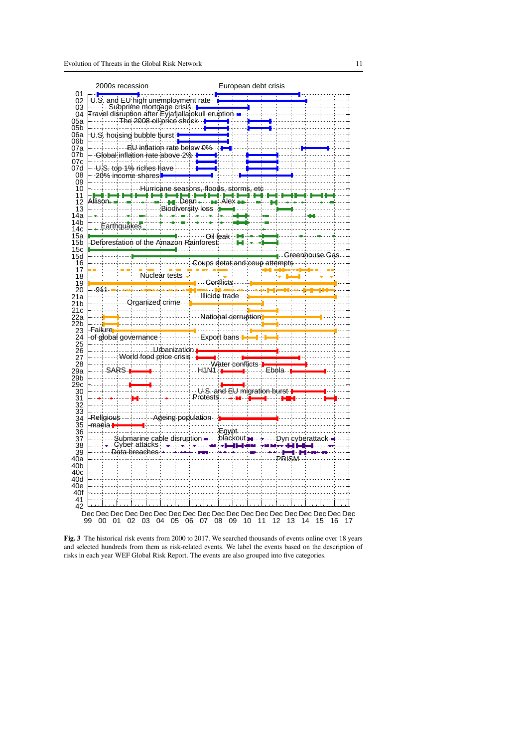

<span id="page-10-0"></span>Fig. 3 The historical risk events from 2000 to 2017. We searched thousands of events online over 18 years and selected hundreds from them as risk-related events. We label the events based on the description of risks in each year WEF Global Risk Report. The events are also grouped into five categories.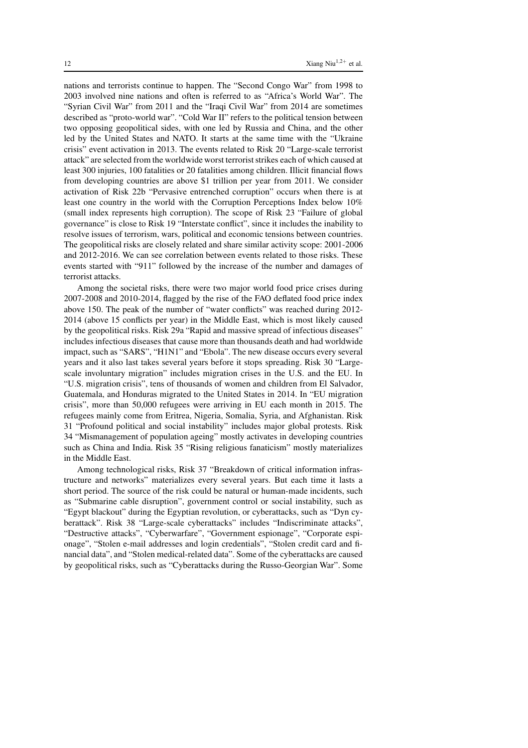nations and terrorists continue to happen. The "Second Congo War" from 1998 to 2003 involved nine nations and often is referred to as "Africa's World War". The "Syrian Civil War" from 2011 and the "Iraqi Civil War" from 2014 are sometimes described as "proto-world war". "Cold War II" refers to the political tension between two opposing geopolitical sides, with one led by Russia and China, and the other led by the United States and NATO. It starts at the same time with the "Ukraine crisis" event activation in 2013. The events related to Risk 20 "Large-scale terrorist attack" are selected from the worldwide worst terrorist strikes each of which caused at least 300 injuries, 100 fatalities or 20 fatalities among children. Illicit financial flows from developing countries are above \$1 trillion per year from 2011. We consider activation of Risk 22b "Pervasive entrenched corruption" occurs when there is at least one country in the world with the Corruption Perceptions Index below 10% (small index represents high corruption). The scope of Risk 23 "Failure of global governance" is close to Risk 19 "Interstate conflict", since it includes the inability to resolve issues of terrorism, wars, political and economic tensions between countries. The geopolitical risks are closely related and share similar activity scope: 2001-2006 and 2012-2016. We can see correlation between events related to those risks. These events started with "911" followed by the increase of the number and damages of terrorist attacks.

Among the societal risks, there were two major world food price crises during 2007-2008 and 2010-2014, flagged by the rise of the FAO deflated food price index above 150. The peak of the number of "water conflicts" was reached during 2012- 2014 (above 15 conflicts per year) in the Middle East, which is most likely caused by the geopolitical risks. Risk 29a "Rapid and massive spread of infectious diseases" includes infectious diseases that cause more than thousands death and had worldwide impact, such as "SARS", "H1N1" and "Ebola". The new disease occurs every several years and it also last takes several years before it stops spreading. Risk 30 "Largescale involuntary migration" includes migration crises in the U.S. and the EU. In "U.S. migration crisis", tens of thousands of women and children from El Salvador, Guatemala, and Honduras migrated to the United States in 2014. In "EU migration crisis", more than 50,000 refugees were arriving in EU each month in 2015. The refugees mainly come from Eritrea, Nigeria, Somalia, Syria, and Afghanistan. Risk 31 "Profound political and social instability" includes major global protests. Risk 34 "Mismanagement of population ageing" mostly activates in developing countries such as China and India. Risk 35 "Rising religious fanaticism" mostly materializes in the Middle East.

Among technological risks, Risk 37 "Breakdown of critical information infrastructure and networks" materializes every several years. But each time it lasts a short period. The source of the risk could be natural or human-made incidents, such as "Submarine cable disruption", government control or social instability, such as "Egypt blackout" during the Egyptian revolution, or cyberattacks, such as "Dyn cyberattack". Risk 38 "Large-scale cyberattacks" includes "Indiscriminate attacks", "Destructive attacks", "Cyberwarfare", "Government espionage", "Corporate espionage", "Stolen e-mail addresses and login credentials", "Stolen credit card and financial data", and "Stolen medical-related data". Some of the cyberattacks are caused by geopolitical risks, such as "Cyberattacks during the Russo-Georgian War". Some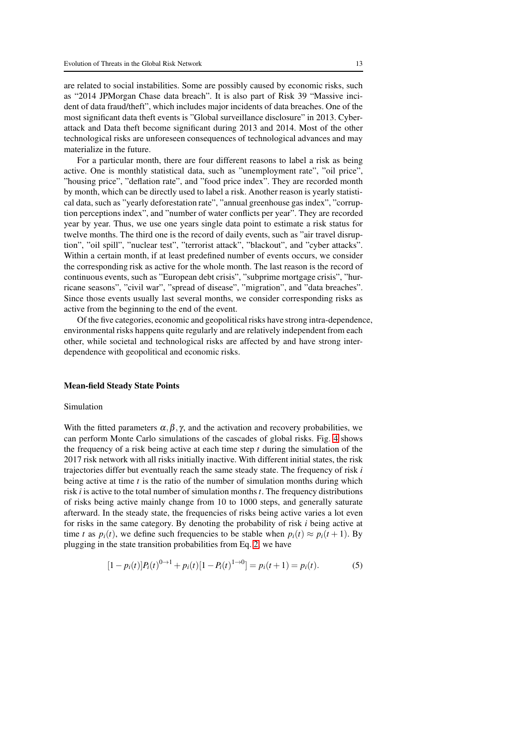are related to social instabilities. Some are possibly caused by economic risks, such as "2014 JPMorgan Chase data breach". It is also part of Risk 39 "Massive incident of data fraud/theft", which includes major incidents of data breaches. One of the most significant data theft events is "Global surveillance disclosure" in 2013. Cyberattack and Data theft become significant during 2013 and 2014. Most of the other technological risks are unforeseen consequences of technological advances and may materialize in the future.

For a particular month, there are four different reasons to label a risk as being active. One is monthly statistical data, such as "unemployment rate", "oil price", "housing price", "deflation rate", and "food price index". They are recorded month by month, which can be directly used to label a risk. Another reason is yearly statistical data, such as "yearly deforestation rate", "annual greenhouse gas index", "corruption perceptions index", and "number of water conflicts per year". They are recorded year by year. Thus, we use one years single data point to estimate a risk status for twelve months. The third one is the record of daily events, such as "air travel disruption", "oil spill", "nuclear test", "terrorist attack", "blackout", and "cyber attacks". Within a certain month, if at least predefined number of events occurs, we consider the corresponding risk as active for the whole month. The last reason is the record of continuous events, such as "European debt crisis", "subprime mortgage crisis", "hurricane seasons", "civil war", "spread of disease", "migration", and "data breaches". Since those events usually last several months, we consider corresponding risks as active from the beginning to the end of the event.

Of the five categories, economic and geopolitical risks have strong intra-dependence, environmental risks happens quite regularly and are relatively independent from each other, while societal and technological risks are affected by and have strong interdependence with geopolitical and economic risks.

#### Mean-field Steady State Points

#### Simulation

With the fitted parameters  $\alpha, \beta, \gamma$ , and the activation and recovery probabilities, we can perform Monte Carlo simulations of the cascades of global risks. Fig. [4](#page-13-0) shows the frequency of a risk being active at each time step *t* during the simulation of the 2017 risk network with all risks initially inactive. With different initial states, the risk trajectories differ but eventually reach the same steady state. The frequency of risk *i* being active at time *t* is the ratio of the number of simulation months during which risk *i* is active to the total number of simulation months*t*. The frequency distributions of risks being active mainly change from 10 to 1000 steps, and generally saturate afterward. In the steady state, the frequencies of risks being active varies a lot even for risks in the same category. By denoting the probability of risk *i* being active at time *t* as  $p_i(t)$ , we define such frequencies to be stable when  $p_i(t) \approx p_i(t+1)$ . By plugging in the state transition probabilities from Eq. [2,](#page-3-1) we have

$$
[1 - p_i(t)]P_i(t)^{0 \to 1} + p_i(t)[1 - P_i(t)^{1 \to 0}] = p_i(t+1) = p_i(t).
$$
 (5)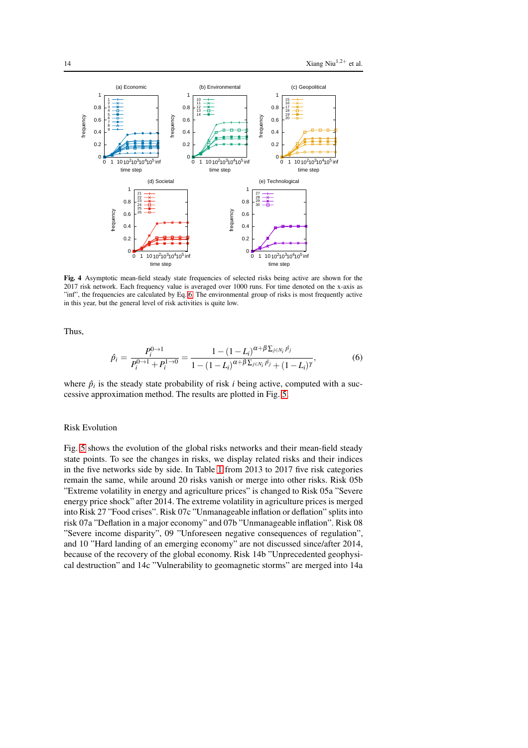

<span id="page-13-0"></span>Fig. 4 Asymptotic mean-field steady state frequencies of selected risks being active are shown for the 2017 risk network. Each frequency value is averaged over 1000 runs. For time denoted on the x-axis as "inf", the frequencies are calculated by Eq. [6.](#page-13-1) The environmental group of risks is most frequently active in this year, but the general level of risk activities is quite low.

Thus,

<span id="page-13-1"></span>
$$
\hat{p}_i = \frac{P_i^{0 \to 1}}{P_i^{0 \to 1} + P_i^{1 \to 0}} = \frac{1 - (1 - L_i)^{\alpha + \beta \sum_{j \in N_i} \hat{p}_j}}{1 - (1 - L_i)^{\alpha + \beta \sum_{j \in N_i} \hat{p}_j} + (1 - L_i)^{\gamma}},
$$
(6)

where  $\hat{p}_i$  is the steady state probability of risk *i* being active, computed with a successive approximation method. The results are plotted in Fig. [5.](#page-14-0)

#### Risk Evolution

Fig. [5](#page-14-0) shows the evolution of the global risks networks and their mean-field steady state points. To see the changes in risks, we display related risks and their indices in the five networks side by side. In Table [1](#page-5-0) from 2013 to 2017 five risk categories remain the same, while around 20 risks vanish or merge into other risks. Risk 05b "Extreme volatility in energy and agriculture prices" is changed to Risk 05a "Severe energy price shock" after 2014. The extreme volatility in agriculture prices is merged into Risk 27 "Food crises". Risk 07c "Unmanageable inflation or deflation" splits into risk 07a "Deflation in a major economy" and 07b "Unmanageable inflation". Risk 08 "Severe income disparity", 09 "Unforeseen negative consequences of regulation", and 10 "Hard landing of an emerging economy" are not discussed since/after 2014, because of the recovery of the global economy. Risk 14b "Unprecedented geophysical destruction" and 14c "Vulnerability to geomagnetic storms" are merged into 14a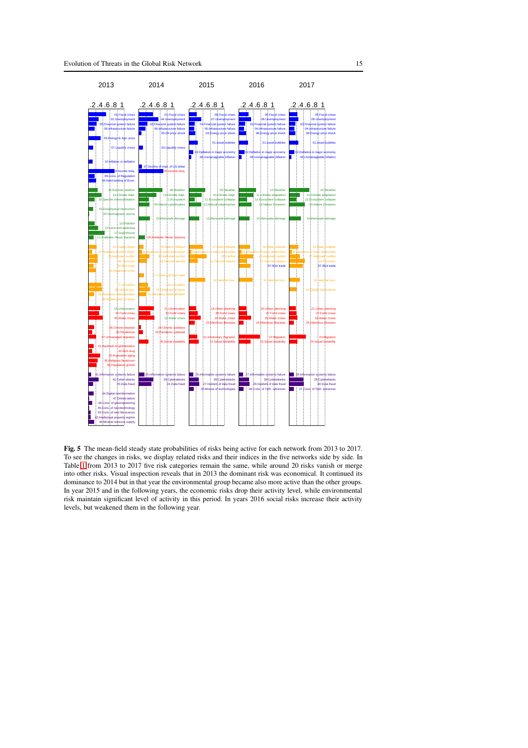

<span id="page-14-0"></span>Fig. 5 The mean-field steady state probabilities of risks being active for each network from 2013 to 2017. To see the changes in risks, we display related risks and their indices in the five networks side by side. In Table [1](#page-5-0) from 2013 to 2017 five risk categories remain the same, while around 20 risks vanish or merge into other risks. Visual inspection reveals that in 2013 the dominant risk was economical. It continued its dominance to 2014 but in that year the environmental group became also more active than the other groups. In year 2015 and in the following years, the economic risks drop their activity level, while environmental risk maintain significant level of activity in this period. In years 2016 social risks increase their activity levels, but weakened them in the following year.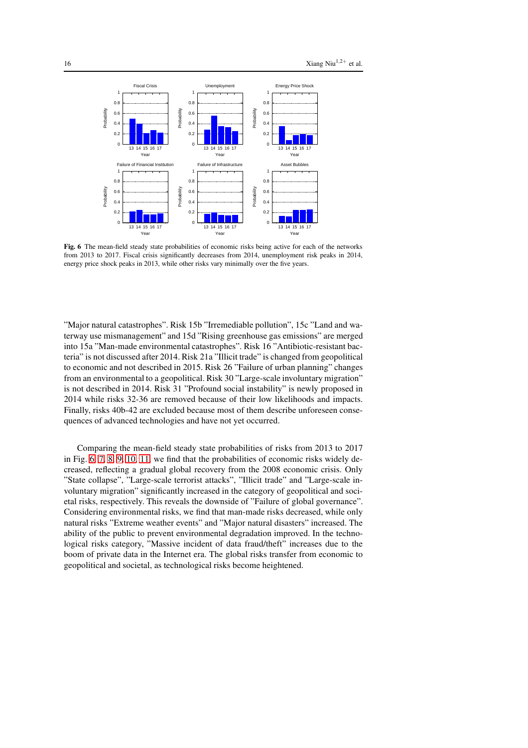

<span id="page-15-0"></span>Fig. 6 The mean-field steady state probabilities of economic risks being active for each of the networks from 2013 to 2017. Fiscal crisis significantly decreases from 2014, unemployment risk peaks in 2014, energy price shock peaks in 2013, while other risks vary minimally over the five years.

"Major natural catastrophes". Risk 15b "Irremediable pollution", 15c "Land and waterway use mismanagement" and 15d "Rising greenhouse gas emissions" are merged into 15a "Man-made environmental catastrophes". Risk 16 "Antibiotic-resistant bacteria" is not discussed after 2014. Risk 21a "Illicit trade" is changed from geopolitical to economic and not described in 2015. Risk 26 "Failure of urban planning" changes from an environmental to a geopolitical. Risk 30 "Large-scale involuntary migration" is not described in 2014. Risk 31 "Profound social instability" is newly proposed in 2014 while risks 32-36 are removed because of their low likelihoods and impacts. Finally, risks 40b-42 are excluded because most of them describe unforeseen consequences of advanced technologies and have not yet occurred.

Comparing the mean-field steady state probabilities of risks from 2013 to 2017 in Fig. [6,](#page-15-0) [7,](#page-16-0) [8,](#page-16-1) [9,](#page-17-0) [10,](#page-17-1) [11,](#page-18-0) we find that the probabilities of economic risks widely decreased, reflecting a gradual global recovery from the 2008 economic crisis. Only "State collapse", "Large-scale terrorist attacks", "Illicit trade" and "Large-scale involuntary migration" significantly increased in the category of geopolitical and societal risks, respectively. This reveals the downside of "Failure of global governance". Considering environmental risks, we find that man-made risks decreased, while only natural risks "Extreme weather events" and "Major natural disasters" increased. The ability of the public to prevent environmental degradation improved. In the technological risks category, "Massive incident of data fraud/theft" increases due to the boom of private data in the Internet era. The global risks transfer from economic to geopolitical and societal, as technological risks become heightened.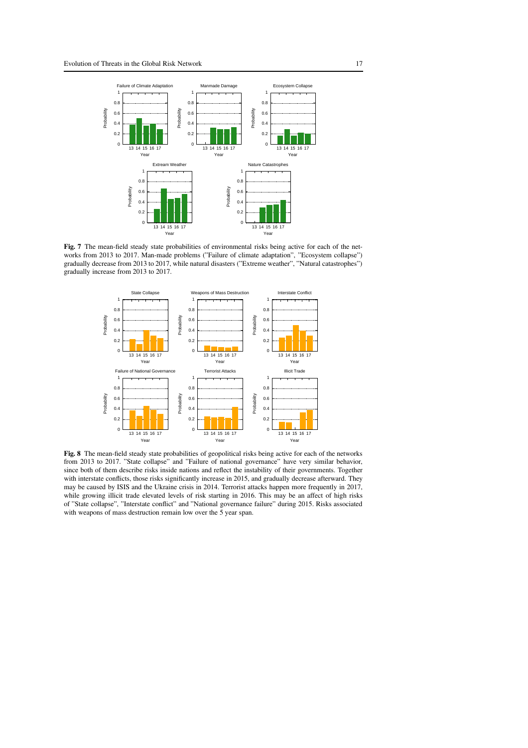

<span id="page-16-0"></span>Fig. 7 The mean-field steady state probabilities of environmental risks being active for each of the networks from 2013 to 2017. Man-made problems ("Failure of climate adaptation", "Ecosystem collapse") gradually decrease from 2013 to 2017, while natural disasters ("Extreme weather", "Natural catastrophes") gradually increase from 2013 to 2017.



<span id="page-16-1"></span>Fig. 8 The mean-field steady state probabilities of geopolitical risks being active for each of the networks from 2013 to 2017. "State collapse" and "Failure of national governance" have very similar behavior, since both of them describe risks inside nations and reflect the instability of their governments. Together with interstate conflicts, those risks significantly increase in 2015, and gradually decrease afterward. They may be caused by ISIS and the Ukraine crisis in 2014. Terrorist attacks happen more frequently in 2017, while growing illicit trade elevated levels of risk starting in 2016. This may be an affect of high risks of "State collapse", "Interstate conflict" and "National governance failure" during 2015. Risks associated with weapons of mass destruction remain low over the 5 year span.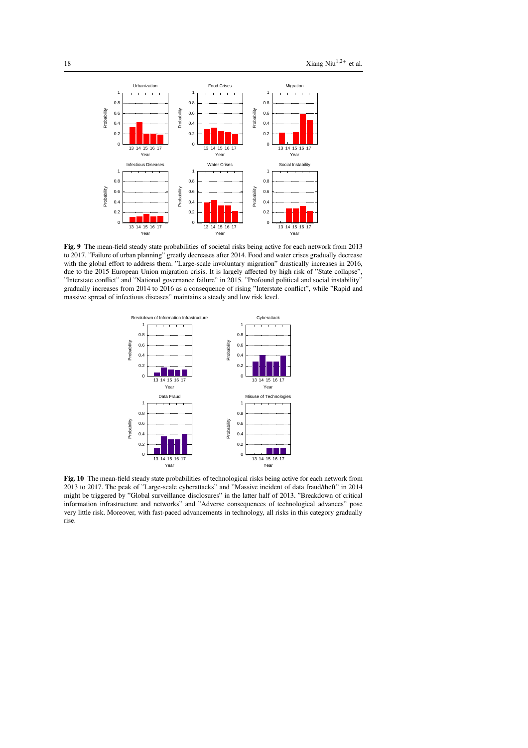

<span id="page-17-0"></span>Fig. 9 The mean-field steady state probabilities of societal risks being active for each network from 2013 to 2017. "Failure of urban planning" greatly decreases after 2014. Food and water crises gradually decrease with the global effort to address them. "Large-scale involuntary migration" drastically increases in 2016, due to the 2015 European Union migration crisis. It is largely affected by high risk of "State collapse", "Interstate conflict" and "National governance failure" in 2015. "Profound political and social instability" gradually increases from 2014 to 2016 as a consequence of rising "Interstate conflict", while "Rapid and massive spread of infectious diseases" maintains a steady and low risk level.



<span id="page-17-1"></span>Fig. 10 The mean-field steady state probabilities of technological risks being active for each network from 2013 to 2017. The peak of "Large-scale cyberattacks" and "Massive incident of data fraud/theft" in 2014 might be triggered by "Global surveillance disclosures" in the latter half of 2013. "Breakdown of critical information infrastructure and networks" and "Adverse consequences of technological advances" pose very little risk. Moreover, with fast-paced advancements in technology, all risks in this category gradually rise.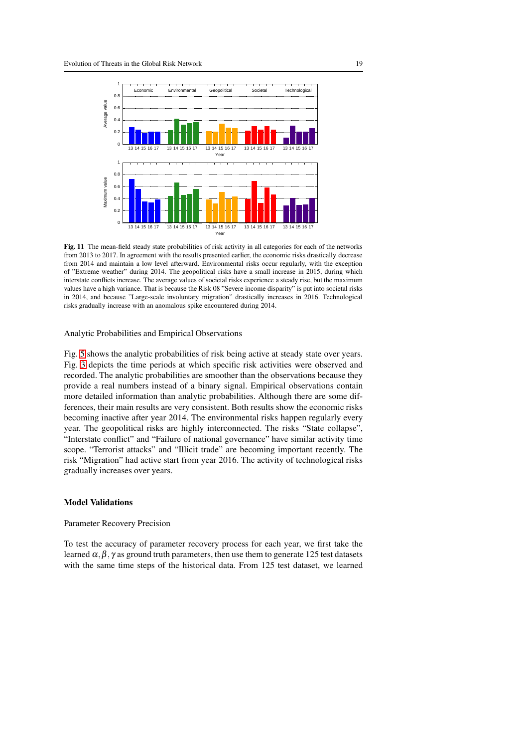

<span id="page-18-0"></span>Fig. 11 The mean-field steady state probabilities of risk activity in all categories for each of the networks from 2013 to 2017. In agreement with the results presented earlier, the economic risks drastically decrease from 2014 and maintain a low level afterward. Environmental risks occur regularly, with the exception of "Extreme weather" during 2014. The geopolitical risks have a small increase in 2015, during which interstate conflicts increase. The average values of societal risks experience a steady rise, but the maximum values have a high variance. That is because the Risk 08 "Severe income disparity" is put into societal risks in 2014, and because "Large-scale involuntary migration" drastically increases in 2016. Technological risks gradually increase with an anomalous spike encountered during 2014.

#### Analytic Probabilities and Empirical Observations

Fig. [5](#page-14-0) shows the analytic probabilities of risk being active at steady state over years. Fig. [3](#page-10-0) depicts the time periods at which specific risk activities were observed and recorded. The analytic probabilities are smoother than the observations because they provide a real numbers instead of a binary signal. Empirical observations contain more detailed information than analytic probabilities. Although there are some differences, their main results are very consistent. Both results show the economic risks becoming inactive after year 2014. The environmental risks happen regularly every year. The geopolitical risks are highly interconnected. The risks "State collapse", "Interstate conflict" and "Failure of national governance" have similar activity time scope. "Terrorist attacks" and "Illicit trade" are becoming important recently. The risk "Migration" had active start from year 2016. The activity of technological risks gradually increases over years.

# Model Validations

#### Parameter Recovery Precision

To test the accuracy of parameter recovery process for each year, we first take the learned  $\alpha$ ,  $\beta$ ,  $\gamma$  as ground truth parameters, then use them to generate 125 test datasets with the same time steps of the historical data. From 125 test dataset, we learned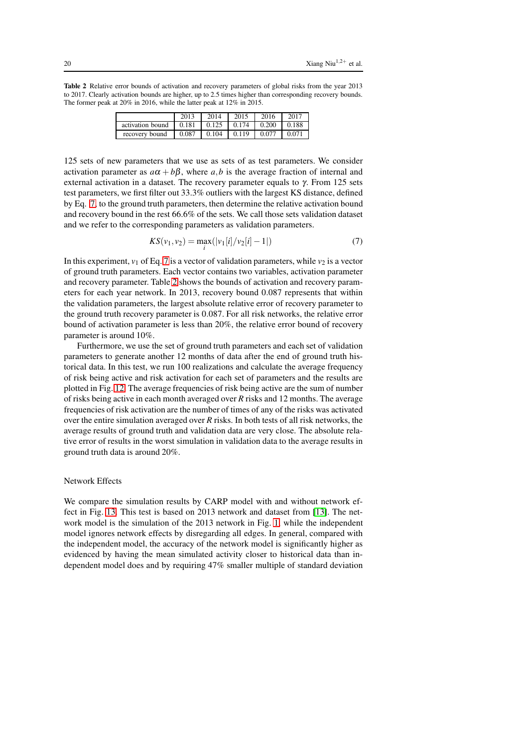<span id="page-19-1"></span>Table 2 Relative error bounds of activation and recovery parameters of global risks from the year 2013 to 2017. Clearly activation bounds are higher, up to 2.5 times higher than corresponding recovery bounds. The former peak at 20% in 2016, while the latter peak at 12% in 2015.

|                                                                        | 2013  | 2014          | 2015 | 2016  | 2017          |
|------------------------------------------------------------------------|-------|---------------|------|-------|---------------|
| activation bound $\parallel$ 0.181 $\parallel$ 0.125 $\parallel$ 0.174 |       |               |      | 0.200 | $\perp$ 0.188 |
| recovery bound                                                         | 0.087 | $0.104$ 0.119 |      | 0.077 | 0.071         |

125 sets of new parameters that we use as sets of as test parameters. We consider activation parameter as  $a\alpha + b\beta$ , where a, b is the average fraction of internal and external activation in a dataset. The recovery parameter equals to  $\gamma$ . From 125 sets test parameters, we first filter out 33.3% outliers with the largest KS distance, defined by Eq. [7,](#page-19-0) to the ground truth parameters, then determine the relative activation bound and recovery bound in the rest 66.6% of the sets. We call those sets validation dataset and we refer to the corresponding parameters as validation parameters.

<span id="page-19-0"></span>
$$
KS(v_1, v_2) = \max_{i} (|v_1[i]/v_2[i] - 1|)
$$
\n(7)

In this experiment,  $v_1$  of Eq. [7](#page-19-0) is a vector of validation parameters, while  $v_2$  is a vector of ground truth parameters. Each vector contains two variables, activation parameter and recovery parameter. Table [2](#page-19-1) shows the bounds of activation and recovery parameters for each year network. In 2013, recovery bound 0.087 represents that within the validation parameters, the largest absolute relative error of recovery parameter to the ground truth recovery parameter is 0.087. For all risk networks, the relative error bound of activation parameter is less than 20%, the relative error bound of recovery parameter is around 10%.

Furthermore, we use the set of ground truth parameters and each set of validation parameters to generate another 12 months of data after the end of ground truth historical data. In this test, we run 100 realizations and calculate the average frequency of risk being active and risk activation for each set of parameters and the results are plotted in Fig. [12.](#page-20-0) The average frequencies of risk being active are the sum of number of risks being active in each month averaged over *R* risks and 12 months. The average frequencies of risk activation are the number of times of any of the risks was activated over the entire simulation averaged over *R* risks. In both tests of all risk networks, the average results of ground truth and validation data are very close. The absolute relative error of results in the worst simulation in validation data to the average results in ground truth data is around 20%.

## Network Effects

We compare the simulation results by CARP model with and without network effect in Fig. [13.](#page-21-0) This test is based on 2013 network and dataset from [\[13\]](#page-26-9). The network model is the simulation of the 2013 network in Fig. [1,](#page-7-0) while the independent model ignores network effects by disregarding all edges. In general, compared with the independent model, the accuracy of the network model is significantly higher as evidenced by having the mean simulated activity closer to historical data than independent model does and by requiring 47% smaller multiple of standard deviation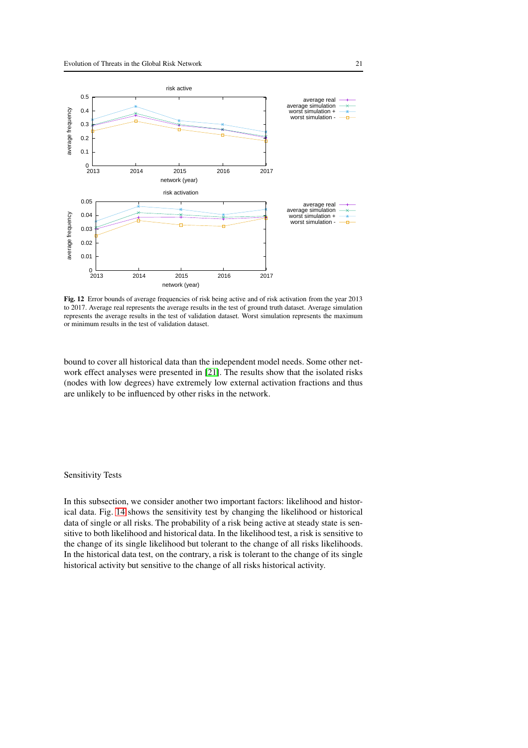

<span id="page-20-0"></span>Fig. 12 Error bounds of average frequencies of risk being active and of risk activation from the year 2013 to 2017. Average real represents the average results in the test of ground truth dataset. Average simulation represents the average results in the test of validation dataset. Worst simulation represents the maximum or minimum results in the test of validation dataset.

bound to cover all historical data than the independent model needs. Some other network effect analyses were presented in [\[21\]](#page-26-17). The results show that the isolated risks (nodes with low degrees) have extremely low external activation fractions and thus are unlikely to be influenced by other risks in the network.

### Sensitivity Tests

In this subsection, we consider another two important factors: likelihood and historical data. Fig. [14](#page-22-0) shows the sensitivity test by changing the likelihood or historical data of single or all risks. The probability of a risk being active at steady state is sensitive to both likelihood and historical data. In the likelihood test, a risk is sensitive to the change of its single likelihood but tolerant to the change of all risks likelihoods. In the historical data test, on the contrary, a risk is tolerant to the change of its single historical activity but sensitive to the change of all risks historical activity.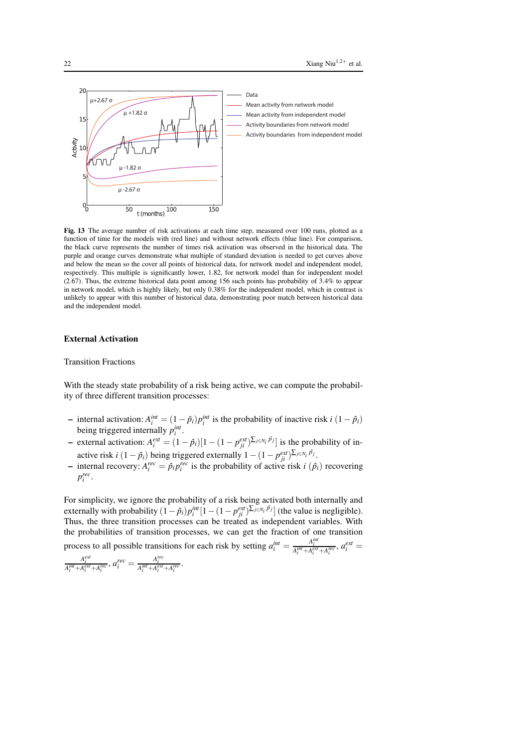

<span id="page-21-0"></span>Fig. 13 The average number of risk activations at each time step, measured over 100 runs, plotted as a function of time for the models with (red line) and without network effects (blue line). For comparison, the black curve represents the number of times risk activation was observed in the historical data. The purple and orange curves demonstrate what multiple of standard deviation is needed to get curves above and below the mean so the cover all points of historical data, for network model and independent model, respectively. This multiple is significantly lower, 1.82, for network model than for independent model (2.67). Thus, the extreme historical data point among 156 such points has probability of 3.4% to appear in network model, which is highly likely, but only 0.38% for the independent model, which in contrast is unlikely to appear with this number of historical data, demonstrating poor match between historical data and the independent model.

#### External Activation

Transition Fractions

With the steady state probability of a risk being active, we can compute the probability of three different transition processes:

- − internal activation:  $A_i^{int} = (1 \hat{p}_i)p_i^{int}$  is the probability of inactive risk *i*  $(1 \hat{p}_i)$ being triggered internally  $p_i^{int}$ .
- − external activation:  $A_i^{ext} = (1 \hat{p}_i)[1 (1 p_{ji}^{ext})^{\sum_{j \in N_i} \hat{p}_j}]$  is the probability of inactive risk *i* (1− $\hat{p}_i$ ) being triggered externally 1 – (1− $p_{ji}^{ext}$ ) $\sum_{j \in N_i} \hat{p}_j$ .
- $\vec{r}$  internal recovery:  $A_i^{rec} = \hat{p}_i p_i^{rec}$  is the probability of active risk *i*  $(\hat{p}_i)$  recovering  $p_i^{rec}$ .

For simplicity, we ignore the probability of a risk being activated both internally and externally with probability  $(1 - \hat{p}_i)p_i^{int}[1 - (1 - p_{ji}^{ext})^{\sum_{j \in N_i} \hat{p}_j}]$  (the value is negligible). Thus, the three transition processes can be treated as independent variables. With the probabilities of transition processes, we can get the fraction of one transition

process to all possible transitions for each risk by setting  $a_i^{int} = \frac{A_i^{int}}{A_i^{int} + A_i^{ret} + A_i^{rec}}$ ,  $a_i^{ext} =$ *A ext i rec A rec i* .

$$
\overline{A_i^{int} + A_i^{ext} + A_i^{rec}}, \, a_i^{rec} = \overline{A_i^{int} + A_i^{ext} + A_i^{rec}}
$$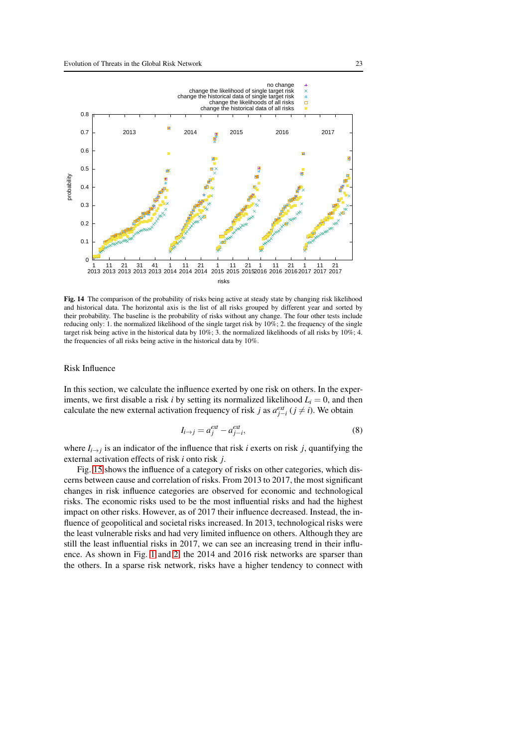

<span id="page-22-0"></span>Fig. 14 The comparison of the probability of risks being active at steady state by changing risk likelihood and historical data. The horizontal axis is the list of all risks grouped by different year and sorted by their probability. The baseline is the probability of risks without any change. The four other tests include reducing only: 1. the normalized likelihood of the single target risk by 10%; 2. the frequency of the single target risk being active in the historical data by 10%; 3. the normalized likelihoods of all risks by 10%; 4. the frequencies of all risks being active in the historical data by 10%.

#### Risk Influence

In this section, we calculate the influence exerted by one risk on others. In the experiments, we first disable a risk *i* by setting its normalized likelihood  $L<sub>i</sub> = 0$ , and then calculate the new external activation frequency of risk *j* as  $a_{j-i}^{ext}$  ( $j \neq i$ ). We obtain

$$
I_{i \to j} = a_j^{\text{ext}} - a_{j-i}^{\text{ext}},\tag{8}
$$

where  $I_{i\rightarrow j}$  is an indicator of the influence that risk *i* exerts on risk *j*, quantifying the external activation effects of risk *i* onto risk *j*.

Fig. [15](#page-23-0) shows the influence of a category of risks on other categories, which discerns between cause and correlation of risks. From 2013 to 2017, the most significant changes in risk influence categories are observed for economic and technological risks. The economic risks used to be the most influential risks and had the highest impact on other risks. However, as of 2017 their influence decreased. Instead, the influence of geopolitical and societal risks increased. In 2013, technological risks were the least vulnerable risks and had very limited influence on others. Although they are still the least influential risks in 2017, we can see an increasing trend in their influence. As shown in Fig. [1](#page-7-0) and [2,](#page-8-0) the 2014 and 2016 risk networks are sparser than the others. In a sparse risk network, risks have a higher tendency to connect with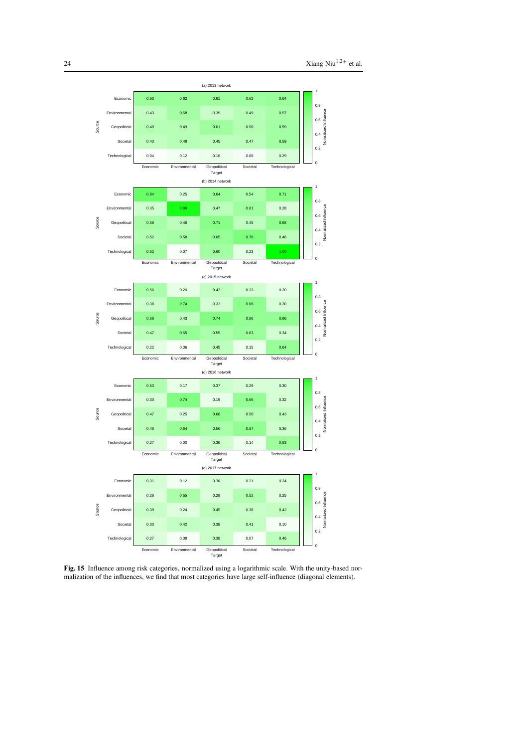

<span id="page-23-0"></span>Fig. 15 Influence among risk categories, normalized using a logarithmic scale. With the unity-based normalization of the influences, we find that most categories have large self-influence (diagonal elements).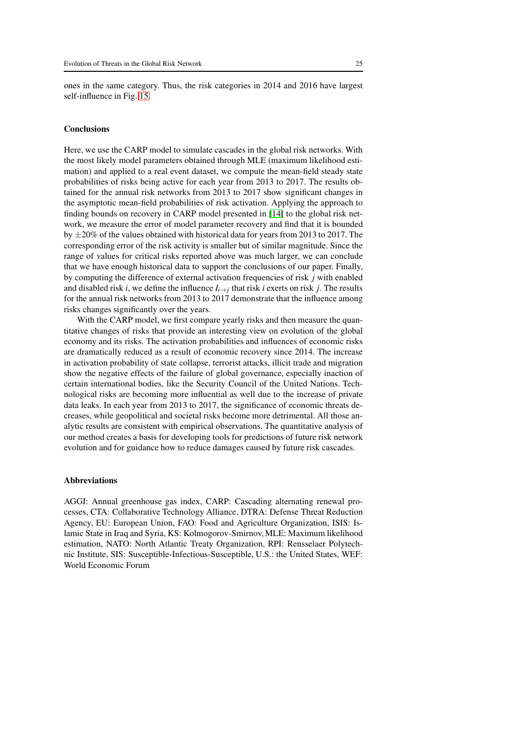ones in the same category. Thus, the risk categories in 2014 and 2016 have largest self-influence in Fig. [15.](#page-23-0)

#### **Conclusions**

Here, we use the CARP model to simulate cascades in the global risk networks. With the most likely model parameters obtained through MLE (maximum likelihood estimation) and applied to a real event dataset, we compute the mean-field steady state probabilities of risks being active for each year from 2013 to 2017. The results obtained for the annual risk networks from 2013 to 2017 show significant changes in the asymptotic mean-field probabilities of risk activation. Applying the approach to finding bounds on recovery in CARP model presented in [\[14\]](#page-26-10) to the global risk network, we measure the error of model parameter recovery and find that it is bounded by  $\pm 20\%$  of the values obtained with historical data for years from 2013 to 2017. The corresponding error of the risk activity is smaller but of similar magnitude. Since the range of values for critical risks reported above was much larger, we can conclude that we have enough historical data to support the conclusions of our paper. Finally, by computing the difference of external activation frequencies of risk *j* with enabled and disabled risk *i*, we define the influence  $I_{i\rightarrow j}$  that risk *i* exerts on risk *j*. The results for the annual risk networks from 2013 to 2017 demonstrate that the influence among risks changes significantly over the years.

With the CARP model, we first compare yearly risks and then measure the quantitative changes of risks that provide an interesting view on evolution of the global economy and its risks. The activation probabilities and influences of economic risks are dramatically reduced as a result of economic recovery since 2014. The increase in activation probability of state collapse, terrorist attacks, illicit trade and migration show the negative effects of the failure of global governance, especially inaction of certain international bodies, like the Security Council of the United Nations. Technological risks are becoming more influential as well due to the increase of private data leaks. In each year from 2013 to 2017, the significance of economic threats decreases, while geopolitical and societal risks become more detrimental. All those analytic results are consistent with empirical observations. The quantitative analysis of our method creates a basis for developing tools for predictions of future risk network evolution and for guidance how to reduce damages caused by future risk cascades.

## Abbreviations

AGGI: Annual greenhouse gas index, CARP: Cascading alternating renewal processes, CTA: Collaborative Technology Alliance, DTRA: Defense Threat Reduction Agency, EU: European Union, FAO: Food and Agriculture Organization, ISIS: Islamic State in Iraq and Syria, KS: Kolmogorov-Smirnov,MLE: Maximum likelihood estimation, NATO: North Atlantic Treaty Organization, RPI: Rensselaer Polytechnic Institute, SIS: Susceptible-Infectious-Susceptible, U.S.: the United States, WEF: World Economic Forum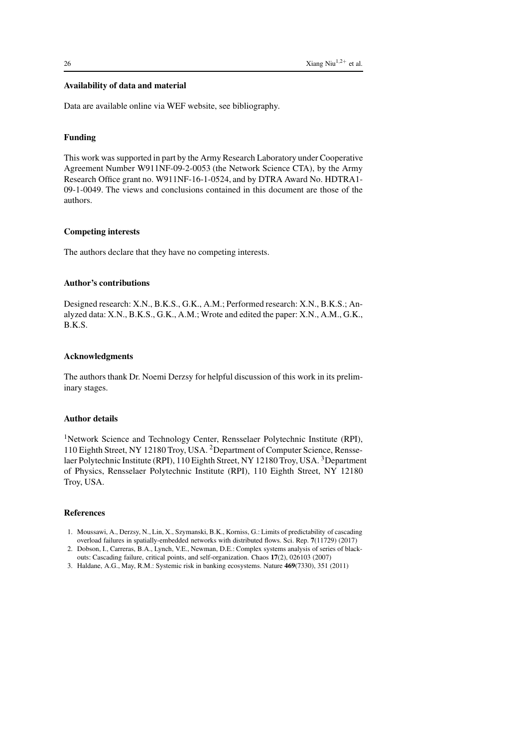# Availability of data and material

Data are available online via WEF website, see bibliography.

## Funding

This work was supported in part by the Army Research Laboratory under Cooperative Agreement Number W911NF-09-2-0053 (the Network Science CTA), by the Army Research Office grant no. W911NF-16-1-0524, and by DTRA Award No. HDTRA1- 09-1-0049. The views and conclusions contained in this document are those of the authors.

## Competing interests

The authors declare that they have no competing interests.

## Author's contributions

Designed research: X.N., B.K.S., G.K., A.M.; Performed research: X.N., B.K.S.; Analyzed data: X.N., B.K.S., G.K., A.M.; Wrote and edited the paper: X.N., A.M., G.K., B.K.S.

### Acknowledgments

The authors thank Dr. Noemi Derzsy for helpful discussion of this work in its preliminary stages.

## Author details

<sup>1</sup>Network Science and Technology Center, Rensselaer Polytechnic Institute (RPI), 110 Eighth Street, NY 12180 Troy, USA. <sup>2</sup>Department of Computer Science, Rensselaer Polytechnic Institute (RPI), 110 Eighth Street, NY 12180 Troy, USA. <sup>3</sup>Department of Physics, Rensselaer Polytechnic Institute (RPI), 110 Eighth Street, NY 12180 Troy, USA.

#### References

- <span id="page-25-0"></span>1. Moussawi, A., Derzsy, N., Lin, X., Szymanski, B.K., Korniss, G.: Limits of predictability of cascading overload failures in spatially-embedded networks with distributed flows. Sci. Rep. 7(11729) (2017)
- <span id="page-25-1"></span>2. Dobson, I., Carreras, B.A., Lynch, V.E., Newman, D.E.: Complex systems analysis of series of black-
- <span id="page-25-2"></span>outs: Cascading failure, critical points, and self-organization. Chaos 17(2), 026103 (2007)
- 3. Haldane, A.G., May, R.M.: Systemic risk in banking ecosystems. Nature 469(7330), 351 (2011)